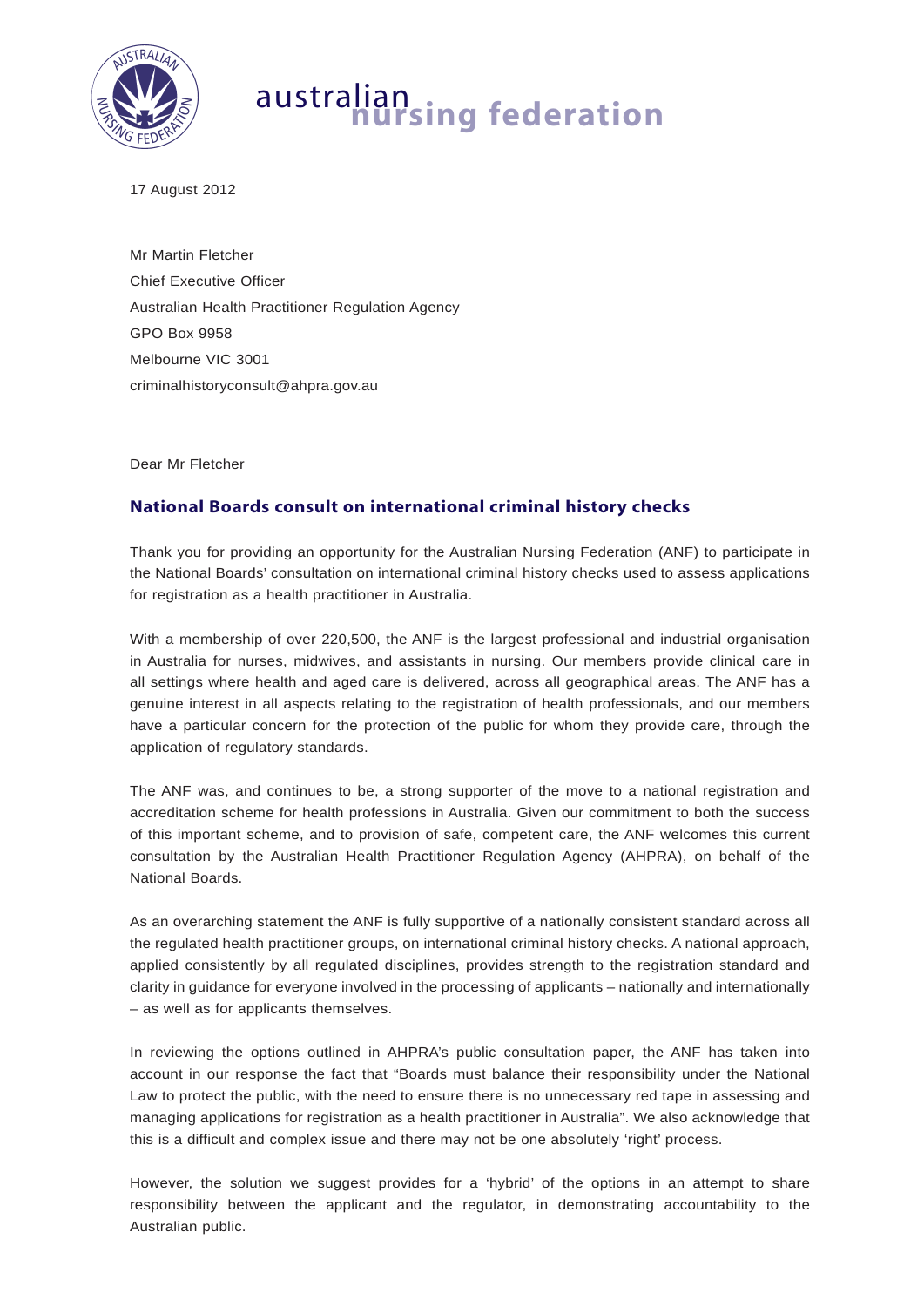

# australian **nursing federation**

17 August 2012

Mr Martin Fletcher Chief Executive Officer Australian Health Practitioner Regulation Agency GPO Box 9958 Melbourne VIC 3001 criminalhistoryconsult@ahpra.gov.au

Dear Mr Fletcher

## **National Boards consult on international criminal history checks**

Thank you for providing an opportunity for the Australian Nursing Federation (ANF) to participate in the National Boards' consultation on international criminal history checks used to assess applications for registration as a health practitioner in Australia.

With a membership of over 220,500, the ANF is the largest professional and industrial organisation in Australia for nurses, midwives, and assistants in nursing. Our members provide clinical care in all settings where health and aged care is delivered, across all geographical areas. The ANF has a genuine interest in all aspects relating to the registration of health professionals, and our members have a particular concern for the protection of the public for whom they provide care, through the application of regulatory standards.

The ANF was, and continues to be, a strong supporter of the move to a national registration and accreditation scheme for health professions in Australia. Given our commitment to both the success of this important scheme, and to provision of safe, competent care, the ANF welcomes this current consultation by the Australian Health Practitioner Regulation Agency (AHPRA), on behalf of the National Boards.

As an overarching statement the ANF is fully supportive of a nationally consistent standard across all the regulated health practitioner groups, on international criminal history checks. A national approach, applied consistently by all regulated disciplines, provides strength to the registration standard and clarity in guidance for everyone involved in the processing of applicants – nationally and internationally – as well as for applicants themselves.

In reviewing the options outlined in AHPRA's public consultation paper, the ANF has taken into account in our response the fact that "Boards must balance their responsibility under the National Law to protect the public, with the need to ensure there is no unnecessary red tape in assessing and managing applications for registration as a health practitioner in Australia". We also acknowledge that this is a difficult and complex issue and there may not be one absolutely 'right' process.

However, the solution we suggest provides for a 'hybrid' of the options in an attempt to share responsibility between the applicant and the regulator, in demonstrating accountability to the Australian public.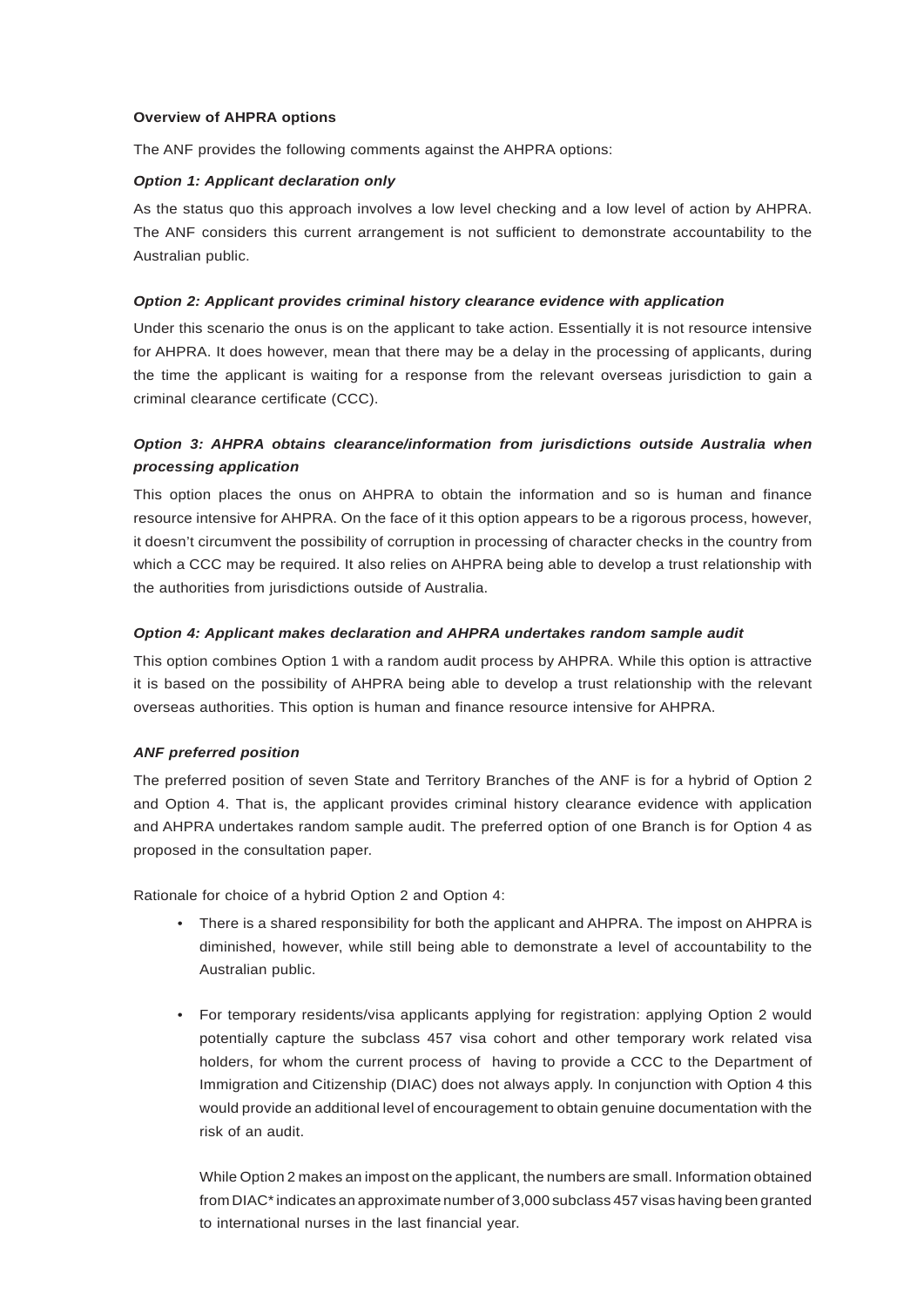#### **Overview of AHPRA options**

The ANF provides the following comments against the AHPRA options:

#### *Option 1: Applicant declaration only*

As the status quo this approach involves a low level checking and a low level of action by AHPRA. The ANF considers this current arrangement is not sufficient to demonstrate accountability to the Australian public.

#### *Option 2: Applicant provides criminal history clearance evidence with application*

Under this scenario the onus is on the applicant to take action. Essentially it is not resource intensive for AHPRA. It does however, mean that there may be a delay in the processing of applicants, during the time the applicant is waiting for a response from the relevant overseas jurisdiction to gain a criminal clearance certificate (CCC).

### *Option 3: AHPRA obtains clearance/information from jurisdictions outside Australia when processing application*

This option places the onus on AHPRA to obtain the information and so is human and finance resource intensive for AHPRA. On the face of it this option appears to be a rigorous process, however, it doesn't circumvent the possibility of corruption in processing of character checks in the country from which a CCC may be required. It also relies on AHPRA being able to develop a trust relationship with the authorities from jurisdictions outside of Australia.

#### *Option 4: Applicant makes declaration and AHPRA undertakes random sample audit*

This option combines Option 1 with a random audit process by AHPRA. While this option is attractive it is based on the possibility of AHPRA being able to develop a trust relationship with the relevant overseas authorities. This option is human and finance resource intensive for AHPRA.

#### *ANF preferred position*

The preferred position of seven State and Territory Branches of the ANF is for a hybrid of Option 2 and Option 4. That is, the applicant provides criminal history clearance evidence with application and AHPRA undertakes random sample audit. The preferred option of one Branch is for Option 4 as proposed in the consultation paper.

Rationale for choice of a hybrid Option 2 and Option 4:

- There is a shared responsibility for both the applicant and AHPRA. The impost on AHPRA is diminished, however, while still being able to demonstrate a level of accountability to the Australian public.
- For temporary residents/visa applicants applying for registration: applying Option 2 would potentially capture the subclass 457 visa cohort and other temporary work related visa holders, for whom the current process of having to provide a CCC to the Department of Immigration and Citizenship (DIAC) does not always apply. In conjunction with Option 4 this would provide an additional level of encouragement to obtain genuine documentation with the risk of an audit.

 While Option 2 makes an impost on the applicant, the numbers are small. Information obtained from DIAC\* indicates an approximate number of 3,000 subclass 457 visas having been granted to international nurses in the last financial year.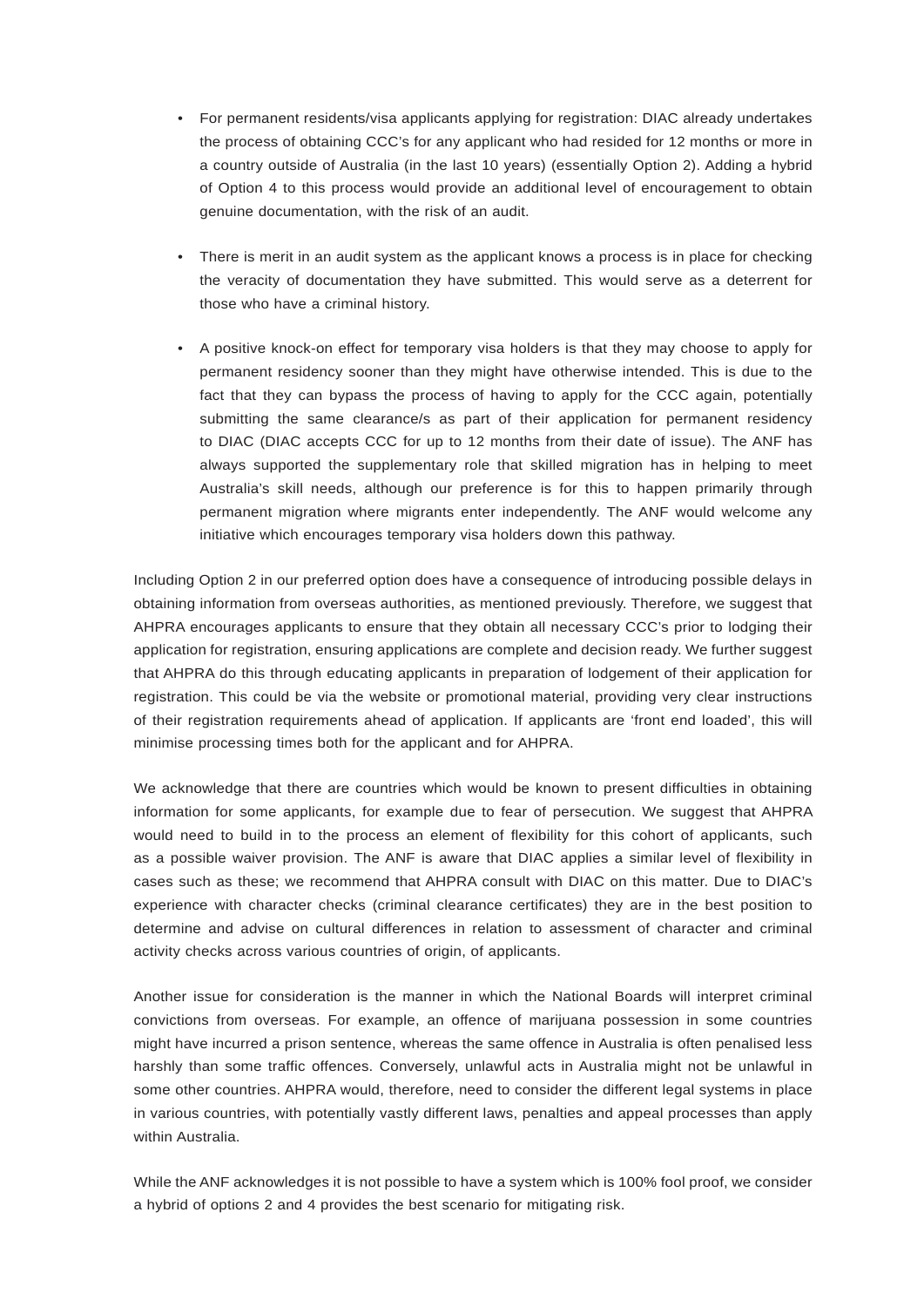- For permanent residents/visa applicants applying for registration: DIAC already undertakes the process of obtaining CCC's for any applicant who had resided for 12 months or more in a country outside of Australia (in the last 10 years) (essentially Option 2). Adding a hybrid of Option 4 to this process would provide an additional level of encouragement to obtain genuine documentation, with the risk of an audit.
- There is merit in an audit system as the applicant knows a process is in place for checking the veracity of documentation they have submitted. This would serve as a deterrent for those who have a criminal history.
- A positive knock-on effect for temporary visa holders is that they may choose to apply for permanent residency sooner than they might have otherwise intended. This is due to the fact that they can bypass the process of having to apply for the CCC again, potentially submitting the same clearance/s as part of their application for permanent residency to DIAC (DIAC accepts CCC for up to 12 months from their date of issue). The ANF has always supported the supplementary role that skilled migration has in helping to meet Australia's skill needs, although our preference is for this to happen primarily through permanent migration where migrants enter independently. The ANF would welcome any initiative which encourages temporary visa holders down this pathway.

Including Option 2 in our preferred option does have a consequence of introducing possible delays in obtaining information from overseas authorities, as mentioned previously. Therefore, we suggest that AHPRA encourages applicants to ensure that they obtain all necessary CCC's prior to lodging their application for registration, ensuring applications are complete and decision ready. We further suggest that AHPRA do this through educating applicants in preparation of lodgement of their application for registration. This could be via the website or promotional material, providing very clear instructions of their registration requirements ahead of application. If applicants are 'front end loaded', this will minimise processing times both for the applicant and for AHPRA.

We acknowledge that there are countries which would be known to present difficulties in obtaining information for some applicants, for example due to fear of persecution. We suggest that AHPRA would need to build in to the process an element of flexibility for this cohort of applicants, such as a possible waiver provision. The ANF is aware that DIAC applies a similar level of flexibility in cases such as these; we recommend that AHPRA consult with DIAC on this matter. Due to DIAC's experience with character checks (criminal clearance certificates) they are in the best position to determine and advise on cultural differences in relation to assessment of character and criminal activity checks across various countries of origin, of applicants.

Another issue for consideration is the manner in which the National Boards will interpret criminal convictions from overseas. For example, an offence of marijuana possession in some countries might have incurred a prison sentence, whereas the same offence in Australia is often penalised less harshly than some traffic offences. Conversely, unlawful acts in Australia might not be unlawful in some other countries. AHPRA would, therefore, need to consider the different legal systems in place in various countries, with potentially vastly different laws, penalties and appeal processes than apply within Australia.

While the ANF acknowledges it is not possible to have a system which is 100% fool proof, we consider a hybrid of options 2 and 4 provides the best scenario for mitigating risk.